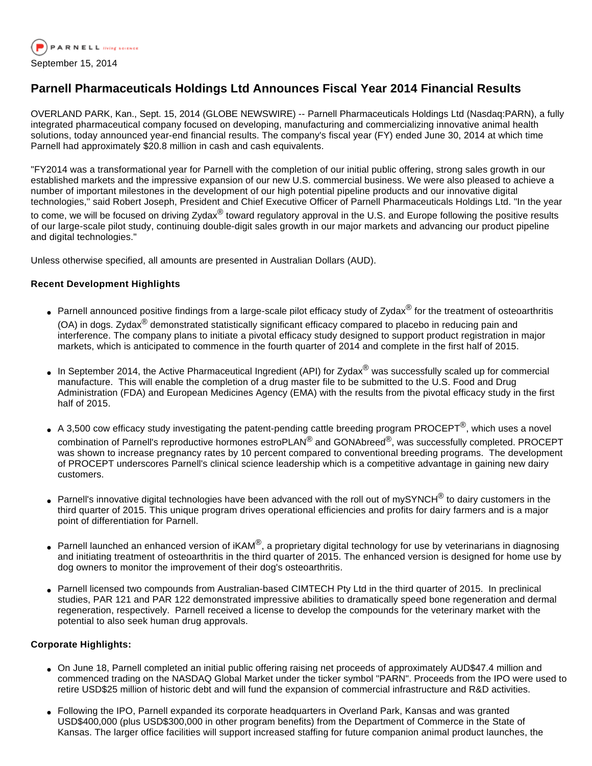

# **Parnell Pharmaceuticals Holdings Ltd Announces Fiscal Year 2014 Financial Results**

OVERLAND PARK, Kan., Sept. 15, 2014 (GLOBE NEWSWIRE) -- Parnell Pharmaceuticals Holdings Ltd (Nasdaq:PARN), a fully integrated pharmaceutical company focused on developing, manufacturing and commercializing innovative animal health solutions, today announced year-end financial results. The company's fiscal year (FY) ended June 30, 2014 at which time Parnell had approximately \$20.8 million in cash and cash equivalents.

"FY2014 was a transformational year for Parnell with the completion of our initial public offering, strong sales growth in our established markets and the impressive expansion of our new U.S. commercial business. We were also pleased to achieve a number of important milestones in the development of our high potential pipeline products and our innovative digital technologies," said Robert Joseph, President and Chief Executive Officer of Parnell Pharmaceuticals Holdings Ltd. "In the year

to come, we will be focused on driving Zydax<sup>®</sup> toward regulatory approval in the U.S. and Europe following the positive results of our large-scale pilot study, continuing double-digit sales growth in our major markets and advancing our product pipeline and digital technologies."

Unless otherwise specified, all amounts are presented in Australian Dollars (AUD).

## **Recent Development Highlights**

- Parnell announced positive findings from a large-scale pilot efficacy study of Zydax<sup>®</sup> for the treatment of osteoarthritis (OA) in dogs. Zydax $^{\circledR}$  demonstrated statistically significant efficacy compared to placebo in reducing pain and interference. The company plans to initiate a pivotal efficacy study designed to support product registration in major markets, which is anticipated to commence in the fourth quarter of 2014 and complete in the first half of 2015.
- In September 2014, the Active Pharmaceutical Ingredient (API) for Zydax<sup>®</sup> was successfully scaled up for commercial manufacture. This will enable the completion of a drug master file to be submitted to the U.S. Food and Drug Administration (FDA) and European Medicines Agency (EMA) with the results from the pivotal efficacy study in the first half of 2015.
- A 3,500 cow efficacy study investigating the patent-pending cattle breeding program PROCEPT<sup>®</sup>, which uses a novel combination of Parnell's reproductive hormones estroPLAN<sup>®</sup> and GONAbreed<sup>®</sup>, was successfully completed. PROCEPT was shown to increase pregnancy rates by 10 percent compared to conventional breeding programs. The development of PROCEPT underscores Parnell's clinical science leadership which is a competitive advantage in gaining new dairy customers.
- Parnell's innovative digital technologies have been advanced with the roll out of mySYNCH<sup>®</sup> to dairy customers in the third quarter of 2015. This unique program drives operational efficiencies and profits for dairy farmers and is a major point of differentiation for Parnell.
- Parnell launched an enhanced version of iKAM<sup>®</sup>, a proprietary digital technology for use by veterinarians in diagnosing and initiating treatment of osteoarthritis in the third quarter of 2015. The enhanced version is designed for home use by dog owners to monitor the improvement of their dog's osteoarthritis.
- Parnell licensed two compounds from Australian-based CIMTECH Pty Ltd in the third quarter of 2015. In preclinical studies, PAR 121 and PAR 122 demonstrated impressive abilities to dramatically speed bone regeneration and dermal regeneration, respectively. Parnell received a license to develop the compounds for the veterinary market with the potential to also seek human drug approvals.

### **Corporate Highlights:**

- On June 18, Parnell completed an initial public offering raising net proceeds of approximately AUD\$47.4 million and commenced trading on the NASDAQ Global Market under the ticker symbol "PARN". Proceeds from the IPO were used to retire USD\$25 million of historic debt and will fund the expansion of commercial infrastructure and R&D activities.
- Following the IPO, Parnell expanded its corporate headquarters in Overland Park, Kansas and was granted USD\$400,000 (plus USD\$300,000 in other program benefits) from the Department of Commerce in the State of Kansas. The larger office facilities will support increased staffing for future companion animal product launches, the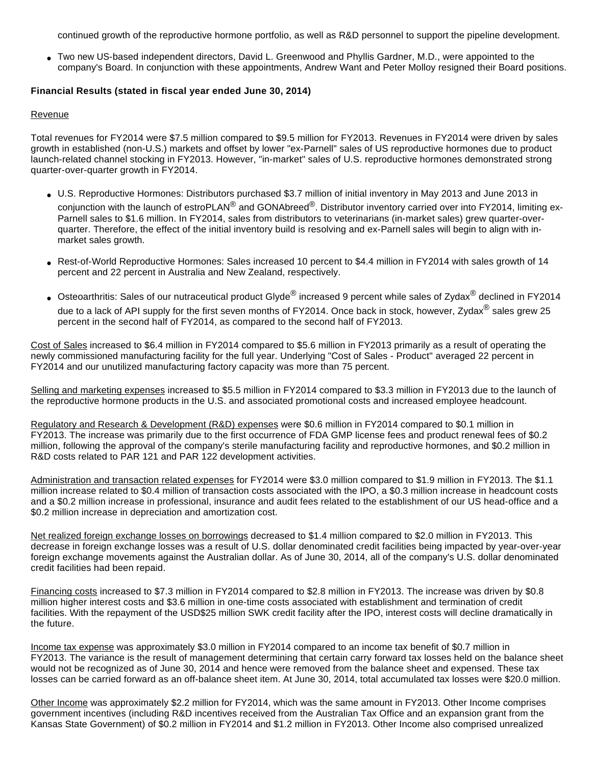continued growth of the reproductive hormone portfolio, as well as R&D personnel to support the pipeline development.

● Two new US-based independent directors, David L. Greenwood and Phyllis Gardner, M.D., were appointed to the company's Board. In conjunction with these appointments, Andrew Want and Peter Molloy resigned their Board positions.

## **Financial Results (stated in fiscal year ended June 30, 2014)**

### Revenue

Total revenues for FY2014 were \$7.5 million compared to \$9.5 million for FY2013. Revenues in FY2014 were driven by sales growth in established (non-U.S.) markets and offset by lower "ex-Parnell" sales of US reproductive hormones due to product launch-related channel stocking in FY2013. However, "in-market" sales of U.S. reproductive hormones demonstrated strong quarter-over-quarter growth in FY2014.

- U.S. Reproductive Hormones: Distributors purchased \$3.7 million of initial inventory in May 2013 and June 2013 in conjunction with the launch of estroPLAN<sup>®</sup> and GONAbreed<sup>®</sup>. Distributor inventory carried over into FY2014, limiting ex-Parnell sales to \$1.6 million. In FY2014, sales from distributors to veterinarians (in-market sales) grew quarter-overquarter. Therefore, the effect of the initial inventory build is resolving and ex-Parnell sales will begin to align with inmarket sales growth.
- Rest-of-World Reproductive Hormones: Sales increased 10 percent to \$4.4 million in FY2014 with sales growth of 14 percent and 22 percent in Australia and New Zealand, respectively.
- Osteoarthritis: Sales of our nutraceutical product Glyde<sup>®</sup> increased 9 percent while sales of Zydax<sup>®</sup> declined in FY2014 due to a lack of API supply for the first seven months of FY2014. Once back in stock, however, Zydax® sales grew 25 percent in the second half of FY2014, as compared to the second half of FY2013.

Cost of Sales increased to \$6.4 million in FY2014 compared to \$5.6 million in FY2013 primarily as a result of operating the newly commissioned manufacturing facility for the full year. Underlying "Cost of Sales - Product" averaged 22 percent in FY2014 and our unutilized manufacturing factory capacity was more than 75 percent.

Selling and marketing expenses increased to \$5.5 million in FY2014 compared to \$3.3 million in FY2013 due to the launch of the reproductive hormone products in the U.S. and associated promotional costs and increased employee headcount.

Regulatory and Research & Development (R&D) expenses were \$0.6 million in FY2014 compared to \$0.1 million in FY2013. The increase was primarily due to the first occurrence of FDA GMP license fees and product renewal fees of \$0.2 million, following the approval of the company's sterile manufacturing facility and reproductive hormones, and \$0.2 million in R&D costs related to PAR 121 and PAR 122 development activities.

Administration and transaction related expenses for FY2014 were \$3.0 million compared to \$1.9 million in FY2013. The \$1.1 million increase related to \$0.4 million of transaction costs associated with the IPO, a \$0.3 million increase in headcount costs and a \$0.2 million increase in professional, insurance and audit fees related to the establishment of our US head-office and a \$0.2 million increase in depreciation and amortization cost.

Net realized foreign exchange losses on borrowings decreased to \$1.4 million compared to \$2.0 million in FY2013. This decrease in foreign exchange losses was a result of U.S. dollar denominated credit facilities being impacted by year-over-year foreign exchange movements against the Australian dollar. As of June 30, 2014, all of the company's U.S. dollar denominated credit facilities had been repaid.

Financing costs increased to \$7.3 million in FY2014 compared to \$2.8 million in FY2013. The increase was driven by \$0.8 million higher interest costs and \$3.6 million in one-time costs associated with establishment and termination of credit facilities. With the repayment of the USD\$25 million SWK credit facility after the IPO, interest costs will decline dramatically in the future.

Income tax expense was approximately \$3.0 million in FY2014 compared to an income tax benefit of \$0.7 million in FY2013. The variance is the result of management determining that certain carry forward tax losses held on the balance sheet would not be recognized as of June 30, 2014 and hence were removed from the balance sheet and expensed. These tax losses can be carried forward as an off-balance sheet item. At June 30, 2014, total accumulated tax losses were \$20.0 million.

Other Income was approximately \$2.2 million for FY2014, which was the same amount in FY2013. Other Income comprises government incentives (including R&D incentives received from the Australian Tax Office and an expansion grant from the Kansas State Government) of \$0.2 million in FY2014 and \$1.2 million in FY2013. Other Income also comprised unrealized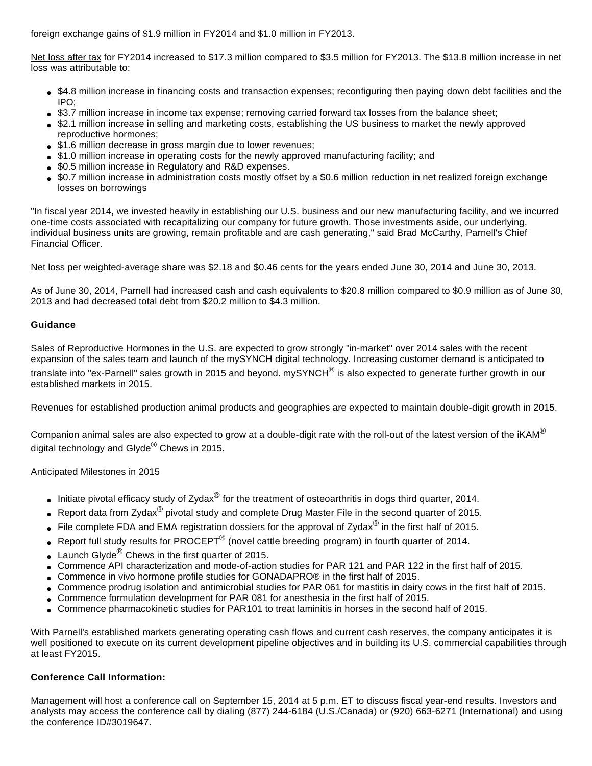foreign exchange gains of \$1.9 million in FY2014 and \$1.0 million in FY2013.

Net loss after tax for FY2014 increased to \$17.3 million compared to \$3.5 million for FY2013. The \$13.8 million increase in net loss was attributable to:

- \$4.8 million increase in financing costs and transaction expenses; reconfiguring then paying down debt facilities and the IPO;
- \$3.7 million increase in income tax expense; removing carried forward tax losses from the balance sheet;
- \$2.1 million increase in selling and marketing costs, establishing the US business to market the newly approved reproductive hormones;
- \$1.6 million decrease in gross margin due to lower revenues;
- \$1.0 million increase in operating costs for the newly approved manufacturing facility; and
- \$0.5 million increase in Regulatory and R&D expenses.
- \$0.7 million increase in administration costs mostly offset by a \$0.6 million reduction in net realized foreign exchange losses on borrowings

"In fiscal year 2014, we invested heavily in establishing our U.S. business and our new manufacturing facility, and we incurred one-time costs associated with recapitalizing our company for future growth. Those investments aside, our underlying, individual business units are growing, remain profitable and are cash generating," said Brad McCarthy, Parnell's Chief Financial Officer.

Net loss per weighted-average share was \$2.18 and \$0.46 cents for the years ended June 30, 2014 and June 30, 2013.

As of June 30, 2014, Parnell had increased cash and cash equivalents to \$20.8 million compared to \$0.9 million as of June 30, 2013 and had decreased total debt from \$20.2 million to \$4.3 million.

## **Guidance**

Sales of Reproductive Hormones in the U.S. are expected to grow strongly "in-market" over 2014 sales with the recent expansion of the sales team and launch of the mySYNCH digital technology. Increasing customer demand is anticipated to translate into "ex-Parnell" sales growth in 2015 and beyond. mySYNCH<sup>®</sup> is also expected to generate further growth in our established markets in 2015.

Revenues for established production animal products and geographies are expected to maintain double-digit growth in 2015.

Companion animal sales are also expected to grow at a double-digit rate with the roll-out of the latest version of the iKAM<sup>®</sup> digital technology and Glyde $^{\circledR}$  Chews in 2015.

Anticipated Milestones in 2015

- Initiate pivotal efficacy study of Zydax<sup>®</sup> for the treatment of osteoarthritis in dogs third quarter, 2014.
- Report data from Zydax<sup>®</sup> pivotal study and complete Drug Master File in the second quarter of 2015.
- File complete FDA and EMA registration dossiers for the approval of Zydax<sup>®</sup> in the first half of 2015.
- Report full study results for PROCEPT<sup>®</sup> (novel cattle breeding program) in fourth quarter of 2014.
- Launch Glyde $^{\circledR}$  Chews in the first quarter of 2015.
- Commence API characterization and mode-of-action studies for PAR 121 and PAR 122 in the first half of 2015.
- Commence in vivo hormone profile studies for GONADAPRO® in the first half of 2015.
- Commence prodrug isolation and antimicrobial studies for PAR 061 for mastitis in dairy cows in the first half of 2015.
- Commence formulation development for PAR 081 for anesthesia in the first half of 2015.
- Commence pharmacokinetic studies for PAR101 to treat laminitis in horses in the second half of 2015.

With Parnell's established markets generating operating cash flows and current cash reserves, the company anticipates it is well positioned to execute on its current development pipeline objectives and in building its U.S. commercial capabilities through at least FY2015.

# **Conference Call Information:**

Management will host a conference call on September 15, 2014 at 5 p.m. ET to discuss fiscal year-end results. Investors and analysts may access the conference call by dialing (877) 244-6184 (U.S./Canada) or (920) 663-6271 (International) and using the conference ID#3019647.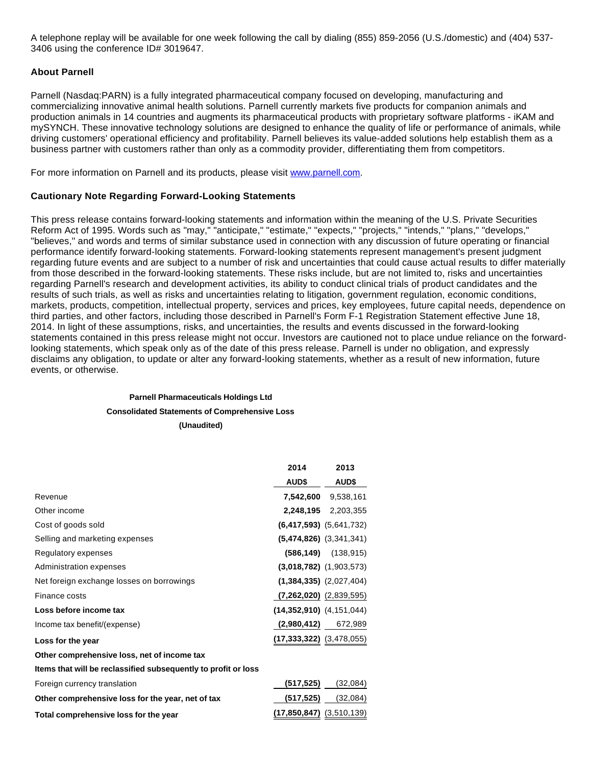A telephone replay will be available for one week following the call by dialing (855) 859-2056 (U.S./domestic) and (404) 537- 3406 using the conference ID# 3019647.

### **About Parnell**

Parnell (Nasdaq:PARN) is a fully integrated pharmaceutical company focused on developing, manufacturing and commercializing innovative animal health solutions. Parnell currently markets five products for companion animals and production animals in 14 countries and augments its pharmaceutical products with proprietary software platforms - iKAM and mySYNCH. These innovative technology solutions are designed to enhance the quality of life or performance of animals, while driving customers' operational efficiency and profitability. Parnell believes its value-added solutions help establish them as a business partner with customers rather than only as a commodity provider, differentiating them from competitors.

For more information on Parnell and its products, please visit [www.parnell.com.](http://www.parnell.com/)

### **Cautionary Note Regarding Forward-Looking Statements**

This press release contains forward-looking statements and information within the meaning of the U.S. Private Securities Reform Act of 1995. Words such as "may," "anticipate," "estimate," "expects," "projects," "intends," "plans," "develops," "believes," and words and terms of similar substance used in connection with any discussion of future operating or financial performance identify forward-looking statements. Forward-looking statements represent management's present judgment regarding future events and are subject to a number of risk and uncertainties that could cause actual results to differ materially from those described in the forward-looking statements. These risks include, but are not limited to, risks and uncertainties regarding Parnell's research and development activities, its ability to conduct clinical trials of product candidates and the results of such trials, as well as risks and uncertainties relating to litigation, government regulation, economic conditions, markets, products, competition, intellectual property, services and prices, key employees, future capital needs, dependence on third parties, and other factors, including those described in Parnell's Form F-1 Registration Statement effective June 18, 2014. In light of these assumptions, risks, and uncertainties, the results and events discussed in the forward-looking statements contained in this press release might not occur. Investors are cautioned not to place undue reliance on the forwardlooking statements, which speak only as of the date of this press release. Parnell is under no obligation, and expressly disclaims any obligation, to update or alter any forward-looking statements, whether as a result of new information, future events, or otherwise.

# **Parnell Pharmaceuticals Holdings Ltd Consolidated Statements of Comprehensive Loss (Unaudited)**

|                                                                | 2014                             | 2013                        |
|----------------------------------------------------------------|----------------------------------|-----------------------------|
|                                                                | <b>AUD\$</b>                     | <b>AUD\$</b>                |
| Revenue                                                        |                                  | <b>7,542,600</b> 9,538,161  |
| Other income                                                   |                                  | 2,248,195 2,203,355         |
| Cost of goods sold                                             |                                  | $(6,417,593)$ $(5,641,732)$ |
| Selling and marketing expenses                                 |                                  | $(5,474,826)$ $(3,341,341)$ |
| Regulatory expenses                                            |                                  | $(586, 149)$ $(138, 915)$   |
| Administration expenses                                        |                                  | $(3,018,782)$ $(1,903,573)$ |
| Net foreign exchange losses on borrowings                      |                                  | $(1,384,335)$ $(2,027,404)$ |
| Finance costs                                                  | $(7,262,020)$ $(2,839,595)$      |                             |
| Loss before income tax                                         | $(14,352,910)$ $(4,151,044)$     |                             |
| Income tax benefit/(expense)                                   |                                  | $(2,980,412)$ 672,989       |
| Loss for the year                                              | $(17, 333, 322)$ $(3, 478, 055)$ |                             |
| Other comprehensive loss, net of income tax                    |                                  |                             |
| Items that will be reclassified subsequently to profit or loss |                                  |                             |
| Foreign currency translation                                   | (517, 525)                       | (32,084)                    |
| Other comprehensive loss for the year, net of tax              | (517, 525)                       | (32,084)                    |
| Total comprehensive loss for the year                          | $(17,850,847)$ $(3,510,139)$     |                             |